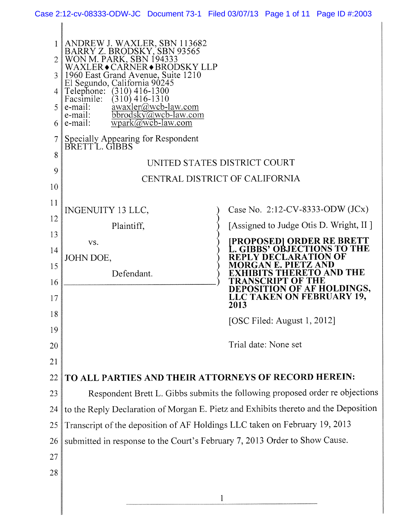| Case 2:12-cv-08333-ODW-JC Document 73-1 Filed 03/07/13 Page 1 of 11 Page ID #:2003 |  |  |  |  |
|------------------------------------------------------------------------------------|--|--|--|--|
|------------------------------------------------------------------------------------|--|--|--|--|

| 2<br>3<br>6<br>8<br>9 | ANDREW J. WAXLER, SBN 113682<br>BARRY Z. BRODSKY, SBN 93565<br>WON M. PARK, SBN 194333<br>WAXLER◆CARNER◆BRODSKY LLP<br>1960 East Grand Avenue, Suite 1210<br>El Segundo, California 90245<br>$(310)$ 416-1300<br>Telephone:<br>Facsimile:<br>$(310)$ 416-1310<br>awaxler@wcb-law.com<br>e-mail:<br>bbrodsky@wcb-law.com<br>e-mail:<br>$wpark@wcb$ -law.com<br>e-mail:<br>Specially Appearing for Respondent<br>BRETT L. GIBBS<br>UNITED STATES DISTRICT COURT<br>CENTRAL DISTRICT OF CALIFORNIA |                                                                              |
|-----------------------|-------------------------------------------------------------------------------------------------------------------------------------------------------------------------------------------------------------------------------------------------------------------------------------------------------------------------------------------------------------------------------------------------------------------------------------------------------------------------------------------------|------------------------------------------------------------------------------|
| 10                    |                                                                                                                                                                                                                                                                                                                                                                                                                                                                                                 |                                                                              |
| 11                    | INGENUITY 13 LLC,                                                                                                                                                                                                                                                                                                                                                                                                                                                                               | Case No. 2:12-CV-8333-ODW (JCx)                                              |
| 12                    | Plaintiff,                                                                                                                                                                                                                                                                                                                                                                                                                                                                                      | [Assigned to Judge Otis D. Wright, II]                                       |
| 13                    | VS.                                                                                                                                                                                                                                                                                                                                                                                                                                                                                             | <b>PROPOSEDI ORDER RE BRETT</b>                                              |
| 14                    | JOHN DOE,                                                                                                                                                                                                                                                                                                                                                                                                                                                                                       | BBS' OBJECTIONS TO THE<br>ON OF<br>TARATI                                    |
| 15                    | Defendant.                                                                                                                                                                                                                                                                                                                                                                                                                                                                                      | E. PIETZ AND<br><b>RETO AND THE</b>                                          |
| 16                    |                                                                                                                                                                                                                                                                                                                                                                                                                                                                                                 | RANSCRIPT OF THE<br>DEPOSITION OF AF HOLDINGS,                               |
| 17                    |                                                                                                                                                                                                                                                                                                                                                                                                                                                                                                 | LLC TAKEN ON FEBRUARY 19,<br>2013                                            |
| 18<br>19              |                                                                                                                                                                                                                                                                                                                                                                                                                                                                                                 | [OSC Filed: August 1, 2012]                                                  |
| 20                    |                                                                                                                                                                                                                                                                                                                                                                                                                                                                                                 | Trial date: None set                                                         |
| 21                    |                                                                                                                                                                                                                                                                                                                                                                                                                                                                                                 |                                                                              |
| 22                    | TO ALL PARTIES AND THEIR ATTORNEYS OF RECORD HEREIN:                                                                                                                                                                                                                                                                                                                                                                                                                                            |                                                                              |
| 23                    |                                                                                                                                                                                                                                                                                                                                                                                                                                                                                                 | Respondent Brett L. Gibbs submits the following proposed order re objections |
| 24                    | to the Reply Declaration of Morgan E. Pietz and Exhibits thereto and the Deposition                                                                                                                                                                                                                                                                                                                                                                                                             |                                                                              |
| 25                    | Transcript of the deposition of AF Holdings LLC taken on February 19, 2013                                                                                                                                                                                                                                                                                                                                                                                                                      |                                                                              |
| 26                    | submitted in response to the Court's February 7, 2013 Order to Show Cause.                                                                                                                                                                                                                                                                                                                                                                                                                      |                                                                              |
| 27                    |                                                                                                                                                                                                                                                                                                                                                                                                                                                                                                 |                                                                              |
| 28                    |                                                                                                                                                                                                                                                                                                                                                                                                                                                                                                 |                                                                              |
|                       |                                                                                                                                                                                                                                                                                                                                                                                                                                                                                                 |                                                                              |
|                       | 1                                                                                                                                                                                                                                                                                                                                                                                                                                                                                               |                                                                              |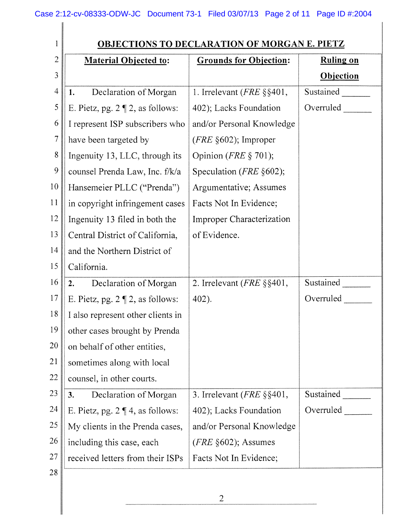| 1              |                                              | <b>OBJECTIONS TO DECLARATION OF MORGAN E. PIETZ</b> |                  |
|----------------|----------------------------------------------|-----------------------------------------------------|------------------|
| $\overline{2}$ | <b>Material Objected to:</b>                 | <b>Grounds for Objection:</b>                       | <b>Ruling on</b> |
| $\mathfrak{Z}$ |                                              |                                                     | <b>Objection</b> |
| $\overline{4}$ | Declaration of Morgan<br>1.                  | 1. Irrelevant ( $FRE$ §§401,                        | Sustained        |
| 5              | E. Pietz, pg. $2 \nvert 2$ , as follows:     | 402); Lacks Foundation                              | Overruled        |
| 6              | I represent ISP subscribers who              | and/or Personal Knowledge                           |                  |
| $\tau$         | have been targeted by                        | $(FRE \S 602)$ ; Improper                           |                  |
| $\bf 8$        | Ingenuity 13, LLC, through its               | Opinion ( $FRE \S$ 701);                            |                  |
| 9              | counsel Prenda Law, Inc. f/k/a               | Speculation ( <i>FRE</i> $§602$ );                  |                  |
| 10             | Hansemeier PLLC ("Prenda")                   | Argumentative; Assumes                              |                  |
| 11             | in copyright infringement cases              | Facts Not In Evidence;                              |                  |
| 12             | Ingenuity 13 filed in both the               | Improper Characterization                           |                  |
| 13             | Central District of California,              | of Evidence.                                        |                  |
| 14             | and the Northern District of                 |                                                     |                  |
| 15             | California.                                  |                                                     |                  |
| 16             | Declaration of Morgan<br>2.                  | 2. Irrelevant ( $FRE$ §§401,                        | Sustained        |
| 17             | E. Pietz, pg. $2 \nparallel 2$ , as follows: | 402).                                               | Overruled        |
| 18             | I also represent other clients in            |                                                     |                  |
| 19             | other cases brought by Prenda                |                                                     |                  |
| 20             | on behalf of other entities,                 |                                                     |                  |
| 21             | sometimes along with local                   |                                                     |                  |
| 22             | counsel, in other courts.                    |                                                     |                  |
| 23             | Declaration of Morgan<br>3.                  | 3. Irrelevant ( $FRE$ §§401,                        | Sustained        |
| 24             | E. Pietz, pg. $2 \nvert 4$ , as follows:     | 402); Lacks Foundation                              | Overruled        |
| 25             | My clients in the Prenda cases,              | and/or Personal Knowledge                           |                  |
| 26             | including this case, each                    | $(FRE \S 602)$ ; Assumes                            |                  |
| 27             | received letters from their ISPs             | Facts Not In Evidence;                              |                  |
| 28             |                                              |                                                     |                  |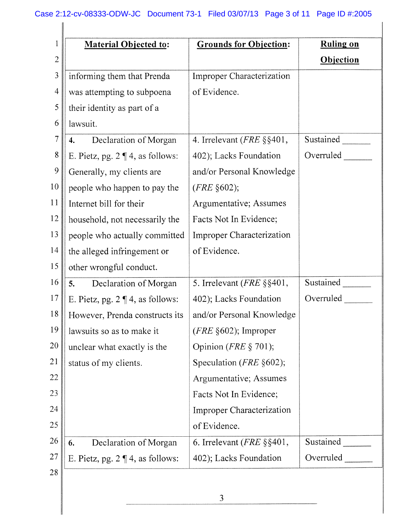| 1              | <b>Material Objected to:</b>             | <b>Grounds for Objection:</b>         | <b>Ruling on</b> |
|----------------|------------------------------------------|---------------------------------------|------------------|
| $\overline{c}$ |                                          |                                       | <b>Objection</b> |
| $\mathfrak{Z}$ | informing them that Prenda               | <b>Improper Characterization</b>      |                  |
| $\overline{4}$ | was attempting to subpoena               | of Evidence.                          |                  |
| 5              | their identity as part of a              |                                       |                  |
| 6              | lawsuit.                                 |                                       |                  |
| 7              | Declaration of Morgan<br>4.              | 4. Irrelevant ( $FRE$ §§401,          | Sustained        |
| 8              | E. Pietz, pg. $2 \nvert 4$ , as follows: | 402); Lacks Foundation                | Overruled        |
| 9              | Generally, my clients are                | and/or Personal Knowledge             |                  |
| 10             | people who happen to pay the             | ( <i>FRE</i> $§602$ );                |                  |
| 11             | Internet bill for their                  | Argumentative; Assumes                |                  |
| 12             | household, not necessarily the           | Facts Not In Evidence;                |                  |
| 13             | people who actually committed            | Improper Characterization             |                  |
| 14             | the alleged infringement or              | of Evidence.                          |                  |
| 15             | other wrongful conduct.                  |                                       |                  |
| 16             | Declaration of Morgan<br>5.              | 5. Irrelevant (FRE §§401,             | Sustained        |
| 17             | E. Pietz, pg. $2 \P 4$ , as follows:     | 402); Lacks Foundation                | Overruled        |
| 18             | However, Prenda constructs its           | and/or Personal Knowledge             |                  |
| 19             | lawsuits so as to make it                | $(FRE \S 602)$ ; Improper             |                  |
| 20             | unclear what exactly is the              | Opinion ( $FRE \S$ 701);              |                  |
| 21             | status of my clients.                    | Speculation ( $FRE$ §602);            |                  |
| 22             |                                          | Argumentative; Assumes                |                  |
| 23             |                                          | Facts Not In Evidence;                |                  |
| 24             |                                          | <b>Improper Characterization</b>      |                  |
| 25             |                                          | of Evidence.                          |                  |
| 26             | Declaration of Morgan<br>6.              | 6. Irrelevant ( <i>FRE</i> $\S$ §401, | Sustained        |
| 27             | E. Pietz, pg. $2 \nvert 4$ , as follows: | 402); Lacks Foundation                | Overruled        |
| 28             |                                          |                                       |                  |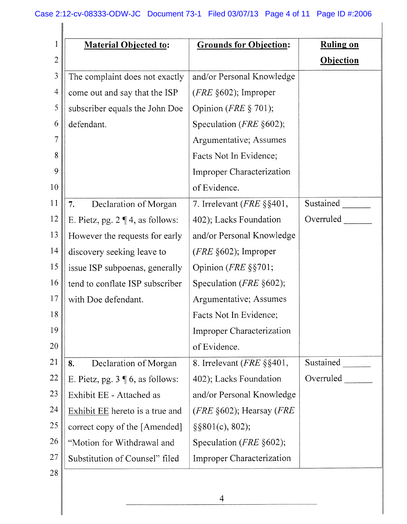| 1              | <b>Material Objected to:</b>                 | <b>Grounds for Objection:</b>      | <b>Ruling on</b> |
|----------------|----------------------------------------------|------------------------------------|------------------|
| $\overline{2}$ |                                              |                                    | <b>Objection</b> |
| $\mathfrak{Z}$ | The complaint does not exactly               | and/or Personal Knowledge          |                  |
| $\overline{4}$ | come out and say that the ISP                | $(FRE \S 602)$ ; Improper          |                  |
| 5              | subscriber equals the John Doe               | Opinion ( $FRE \S$ 701);           |                  |
| 6              | defendant.                                   | Speculation ( <i>FRE</i> $§602$ ); |                  |
| 7              |                                              | Argumentative; Assumes             |                  |
| 8              |                                              | Facts Not In Evidence;             |                  |
| 9              |                                              | <b>Improper Characterization</b>   |                  |
| 10             |                                              | of Evidence.                       |                  |
| 11             | Declaration of Morgan<br>7.                  | 7. Irrelevant (FRE §§401,          | Sustained        |
| 12             | E. Pietz, pg. $2 \nparallel 4$ , as follows: | 402); Lacks Foundation             | Overruled        |
| 13             | However the requests for early               | and/or Personal Knowledge          |                  |
| 14             | discovery seeking leave to                   | $(FRE \S 602)$ ; Improper          |                  |
| 15             | issue ISP subpoenas, generally               | Opinion (FRE §§701;                |                  |
| 16             | tend to conflate ISP subscriber              | Speculation ( <i>FRE</i> $§602$ ); |                  |
| 17             | with Doe defendant.                          | Argumentative; Assumes             |                  |
| 18             |                                              | Facts Not In Evidence;             |                  |
| 19             |                                              | <b>Improper Characterization</b>   |                  |
| 20             |                                              | of Evidence.                       |                  |
| 21             | Declaration of Morgan<br>8.                  | 8. Irrelevant ( $FRE$ §§401,       | Sustained        |
| 22             | E. Pietz, pg. $3 \nvert 6$ , as follows:     | 402); Lacks Foundation             | Overruled        |
| 23             | Exhibit EE - Attached as                     | and/or Personal Knowledge          |                  |
| 24             | Exhibit EE hereto is a true and              | $(FRE \S 602)$ ; Hearsay $(FRE$    |                  |
| 25             | correct copy of the [Amended]                | $\S$ §801(c), 802);                |                  |
| 26             | "Motion for Withdrawal and                   | Speculation ( <i>FRE</i> $§602$ ); |                  |
| 27             | Substitution of Counsel" filed               | Improper Characterization          |                  |
| 28             |                                              |                                    |                  |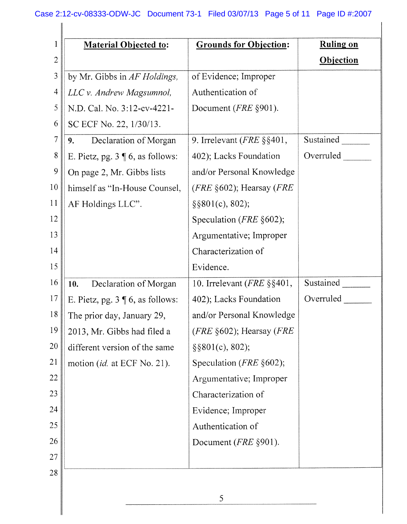## Case 2:12-cv-08333-ODW-JC Document 73-1 Filed 03/07/13 Page 5 of 11 Page ID #:2007

| 1              | <b>Material Objected to:</b>             | <b>Grounds for Objection:</b>                | <b>Ruling on</b> |
|----------------|------------------------------------------|----------------------------------------------|------------------|
| $\overline{2}$ |                                          |                                              | <b>Objection</b> |
| 3              | by Mr. Gibbs in AF Holdings,             | of Evidence; Improper                        |                  |
| 4              | LLC v. Andrew Magsumnol,                 | Authentication of                            |                  |
| 5              | N.D. Cal. No. 3:12-cv-4221-              | Document ( <i>FRE</i> §901).                 |                  |
| 6              | SC ECF No. 22, 1/30/13.                  |                                              |                  |
| $\overline{7}$ | Declaration of Morgan<br>9.              | 9. Irrelevant (FRE §§401,                    | Sustained        |
| 8              | E. Pietz, pg. $3 \nvert 6$ , as follows: | 402); Lacks Foundation                       | Overruled        |
| 9              | On page 2, Mr. Gibbs lists               | and/or Personal Knowledge                    |                  |
| 10             | himself as "In-House Counsel,            | ( <i>FRE</i> $\S602$ ); Hearsay ( <i>FRE</i> |                  |
| 11             | AF Holdings LLC".                        | $\S$ \$801(c), 802);                         |                  |
| 12             |                                          | Speculation ( $FRE$ §602);                   |                  |
| 13             |                                          | Argumentative; Improper                      |                  |
| 14             |                                          | Characterization of                          |                  |
| 15             |                                          | Evidence.                                    |                  |
| 16             | Declaration of Morgan<br>10.             | 10. Irrelevant ( <i>FRE</i> $\S$ §401,       | Sustained        |
| 17             | E. Pietz, pg. $3 \nvert 6$ , as follows: | 402); Lacks Foundation                       | Overruled        |
| 18             | The prior day, January 29,               | and/or Personal Knowledge                    |                  |
| 19             | 2013, Mr. Gibbs had filed a              | ( <i>FRE</i> $\S602$ ); Hearsay ( <i>FRE</i> |                  |
| $20\,$         | different version of the same            | $\S$ §801(c), 802);                          |                  |
| 21             | motion (id. at ECF No. 21).              | Speculation ( $FRE$ §602);                   |                  |
| 22             |                                          | Argumentative; Improper                      |                  |
| 23             |                                          | Characterization of                          |                  |
| 24             |                                          | Evidence; Improper                           |                  |
| 25             |                                          | Authentication of                            |                  |
| 26             |                                          | Document ( <i>FRE</i> §901).                 |                  |
| 27             |                                          |                                              |                  |
| 28             |                                          |                                              |                  |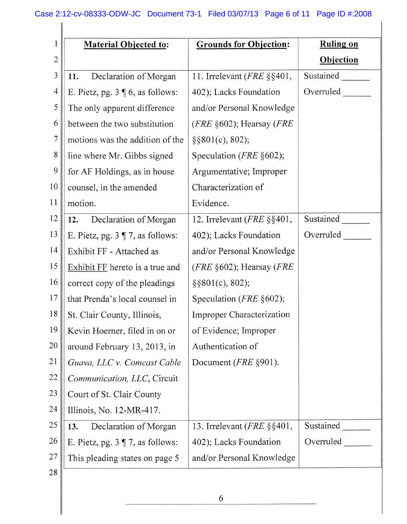| l              | <b>Material Objected to:</b>             | <b>Grounds for Objection:</b>          | <b>Ruling on</b> |
|----------------|------------------------------------------|----------------------------------------|------------------|
| $\overline{2}$ |                                          |                                        | <b>Objection</b> |
| 3              | Declaration of Morgan<br>11.             | 11. Irrelevant ( $FRE$ §§401,          | Sustained        |
| $\overline{4}$ | E. Pietz, pg. $3 \nvert 6$ , as follows: | 402); Lacks Foundation                 | Overruled        |
| 5              | The only apparent difference             | and/or Personal Knowledge              |                  |
| 6              | between the two substitution             | $(FRE \S 602)$ ; Hearsay $(FRE$        |                  |
| $\overline{7}$ | motions was the addition of the          | $\S$ §801(c), 802);                    |                  |
| 8              | line where Mr. Gibbs signed              | Speculation ( <i>FRE</i> $§602$ );     |                  |
| 9              | for AF Holdings, as in house             | Argumentative; Improper                |                  |
| 10             | counsel, in the amended                  | Characterization of                    |                  |
| 11             | motion.                                  | Evidence.                              |                  |
| 12             | Declaration of Morgan<br>12.             | 12. Irrelevant (FRE §§401,             | Sustained        |
| 13             | E. Pietz, pg. $3 \nvert 7$ , as follows: | 402); Lacks Foundation                 | Overruled        |
| 14             | Exhibit FF - Attached as                 | and/or Personal Knowledge              |                  |
| 15             | Exhibit FF hereto is a true and          | $(FRE \S 602)$ ; Hearsay $(FRE$        |                  |
| 16             | correct copy of the pleadings            | $\S$ \\$801(c), 802);                  |                  |
| 17             | that Prenda's local counsel in           | Speculation ( <i>FRE</i> $§602$ );     |                  |
| 18             | St. Clair County, Illinois,              | <b>Improper Characterization</b>       |                  |
| 19             | Kevin Hoerner, filed in on or            | of Evidence; Improper                  |                  |
| 20             | around February 13, 2013, in             | Authentication of                      |                  |
| 21             | Guava, LLC v. Comcast Cable              | Document ( <i>FRE</i> §901).           |                  |
| 22             | Communication, LLC, Circuit              |                                        |                  |
| 23             | Court of St. Clair County                |                                        |                  |
| 24             | Illinois, No. 12-MR-417.                 |                                        |                  |
| 25             | Declaration of Morgan<br>13.             | 13. Irrelevant ( <i>FRE</i> $\S$ §401, | Sustained        |
| 26             | E. Pietz, pg. $3 \nvert 7$ , as follows: | 402); Lacks Foundation                 | Overruled        |
| 27             | This pleading states on page 5           | and/or Personal Knowledge              |                  |
| 28             |                                          |                                        |                  |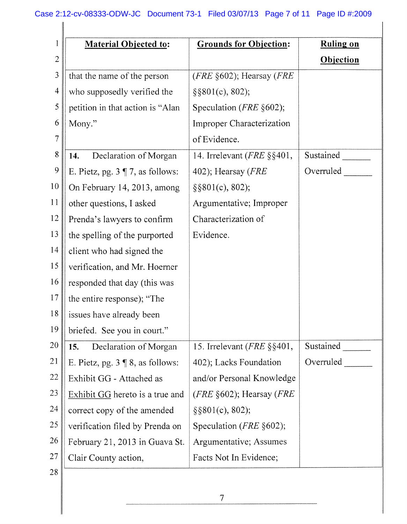| 1              | <b>Material Objected to:</b>             | <b>Grounds for Objection:</b>                | <b>Ruling on</b> |
|----------------|------------------------------------------|----------------------------------------------|------------------|
| $\overline{2}$ |                                          |                                              | Objection        |
| $\mathfrak{Z}$ | that the name of the person              | ( <i>FRE</i> $\S602$ ); Hearsay ( <i>FRE</i> |                  |
| $\overline{4}$ | who supposedly verified the              | $\S$ §801(c), 802);                          |                  |
| $\mathfrak{S}$ | petition in that action is "Alan         | Speculation ( <i>FRE</i> $§602$ );           |                  |
| 6              | Mony."                                   | <b>Improper Characterization</b>             |                  |
| 7              |                                          | of Evidence.                                 |                  |
| 8              | Declaration of Morgan<br>14.             | 14. Irrelevant (FRE §§401,                   | Sustained        |
| 9              | E. Pietz, pg. $3 \nvert 7$ , as follows: | 402); Hearsay $(FRE)$                        | Overruled        |
| <b>10</b>      | On February 14, 2013, among              | $\S$ \$801(c), 802);                         |                  |
| 11             | other questions, I asked                 | Argumentative; Improper                      |                  |
| 12             | Prenda's lawyers to confirm              | Characterization of                          |                  |
| 13             | the spelling of the purported            | Evidence.                                    |                  |
| 14             | client who had signed the                |                                              |                  |
| 15             | verification, and Mr. Hoerner            |                                              |                  |
| 16             | responded that day (this was             |                                              |                  |
| 17             | the entire response); "The               |                                              |                  |
| 18             | issues have already been                 |                                              |                  |
| 19             | briefed. See you in court."              |                                              |                  |
| 20             | Declaration of Morgan<br>15.             | 15. Irrelevant ( <i>FRE</i> $\S$ §401,       | Sustained        |
| 21             | E. Pietz, pg. $3 \nvert 8$ , as follows: | 402); Lacks Foundation                       | Overruled        |
| 22             | Exhibit GG - Attached as                 | and/or Personal Knowledge                    |                  |
| 23             | Exhibit GG hereto is a true and          | $(FRE \S 602)$ ; Hearsay $(FRE$              |                  |
| 24             | correct copy of the amended              | $\S$ §801(c), 802);                          |                  |
| 25             | verification filed by Prenda on          | Speculation ( <i>FRE</i> $§602$ );           |                  |
| 26             | February 21, 2013 in Guava St.           | Argumentative; Assumes                       |                  |
| 27             | Clair County action,                     | Facts Not In Evidence;                       |                  |
| 28             |                                          |                                              |                  |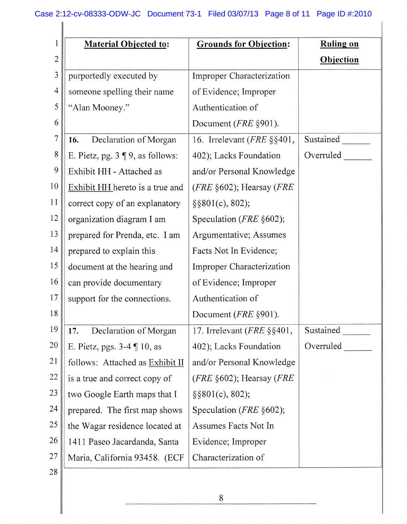| 1                | <b>Material Objected to:</b>             | <b>Grounds for Objection:</b>            | <b>Ruling on</b> |
|------------------|------------------------------------------|------------------------------------------|------------------|
| $\overline{2}$   |                                          |                                          | Objection        |
| 3                | purportedly executed by                  | <b>Improper Characterization</b>         |                  |
| $\overline{4}$   | someone spelling their name              | of Evidence; Improper                    |                  |
| 5                | "Alan Mooney."                           | Authentication of                        |                  |
| 6                |                                          | Document ( $FRE$ §901).                  |                  |
| 7                | Declaration of Morgan<br>16.             | 16. Irrelevant ( $FRE$ §§401,            | Sustained        |
| $\boldsymbol{8}$ | E. Pietz, pg. $3 \nvert 9$ , as follows: | 402); Lacks Foundation                   | Overruled        |
| 9                | Exhibit HH - Attached as                 | and/or Personal Knowledge                |                  |
| 10               | Exhibit HH hereto is a true and          | $(FRE \S 602)$ ; Hearsay $(FRE$          |                  |
| 11               | correct copy of an explanatory           | $\S$ \$801(c), 802);                     |                  |
| 12               | organization diagram I am                | Speculation ( <i>FRE</i> $\S 602$ );     |                  |
| 13               | prepared for Prenda, etc. I am           | Argumentative; Assumes                   |                  |
| 14               | prepared to explain this                 | Facts Not In Evidence;                   |                  |
| 15               | document at the hearing and              | <b>Improper Characterization</b>         |                  |
| 16               | can provide documentary                  | of Evidence; Improper                    |                  |
| 17               | support for the connections.             | Authentication of                        |                  |
| 18               |                                          | Document ( <i>FRE</i> §901).             |                  |
| 19               | Declaration of Morgan<br>17.             | 17. Irrelevant (FRE §§401,               | Sustained        |
| 20               | E. Pietz, pgs. $3-4 \nvert 10$ , as      | 402); Lacks Foundation                   | Overruled        |
| 21               | follows: Attached as Exhibit II          | and/or Personal Knowledge                |                  |
| 22               | is a true and correct copy of            | ( <i>FRE</i> §602); Hearsay ( <i>FRE</i> |                  |
| 23               | two Google Earth maps that I             | $\S$ \$801(c), 802);                     |                  |
| 24               | prepared. The first map shows            | Speculation ( <i>FRE</i> $§602$ );       |                  |
| 25               | the Wagar residence located at           | Assumes Facts Not In                     |                  |
| 26               | 1411 Paseo Jacardanda, Santa             | Evidence; Improper                       |                  |
| 27               | Maria, California 93458. (ECF            | Characterization of                      |                  |
| 28               |                                          |                                          |                  |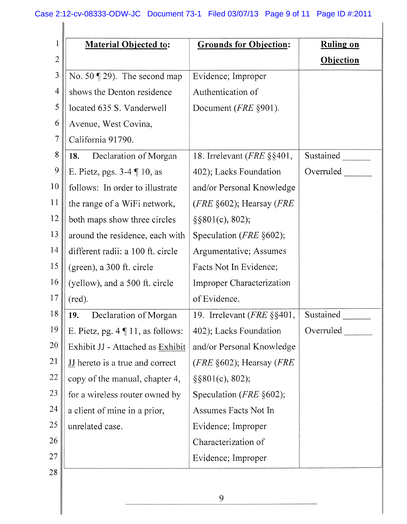| $\mathbf{1}$   | <b>Material Objected to:</b>           | <b>Grounds for Objection:</b>      | <b>Ruling on</b> |
|----------------|----------------------------------------|------------------------------------|------------------|
| $\overline{2}$ |                                        |                                    | Objection        |
| $\mathfrak{Z}$ | No. 50 $\P$ 29). The second map        | Evidence; Improper                 |                  |
| $\overline{4}$ | shows the Denton residence             | Authentication of                  |                  |
| 5              | located 635 S. Vanderwell              | Document (FRE §901).               |                  |
| 6              | Avenue, West Covina,                   |                                    |                  |
| $\overline{7}$ | California 91790.                      |                                    |                  |
| 8              | Declaration of Morgan<br>18.           | 18. Irrelevant (FRE §§401,         | Sustained        |
| 9              | E. Pietz, pgs. $3-4 \parallel 10$ , as | 402); Lacks Foundation             | Overruled        |
| 10             | follows: In order to illustrate        | and/or Personal Knowledge          |                  |
| 11             | the range of a WiFi network,           | $(FRE \S 602)$ ; Hearsay $(FRE$    |                  |
| 12             | both maps show three circles           | $\S$ §801(c), 802);                |                  |
| 13             | around the residence, each with        | Speculation ( $FRE$ §602);         |                  |
| 14             | different radii: a 100 ft. circle      | Argumentative; Assumes             |                  |
| 15             | (green), a 300 ft. circle              | Facts Not In Evidence;             |                  |
| 16             | (yellow), and a 500 ft. circle         | <b>Improper Characterization</b>   |                  |
| 17             | $(\text{red})$ .                       | of Evidence.                       |                  |
| 18             | Declaration of Morgan<br>19.           | 19. Irrelevant ( $FRE$ §§401,      | Sustained        |
| 19             | E. Pietz, pg. $4 \P 11$ , as follows:  | 402); Lacks Foundation             | Overruled        |
| 20             | Exhibit JJ - Attached as Exhibit       | and/or Personal Knowledge          |                  |
| 21             | <b>II</b> hereto is a true and correct | $(FRE \S 602)$ ; Hearsay $(FRE$    |                  |
| 22             | copy of the manual, chapter 4,         | $\S$ §801(c), 802);                |                  |
| 23             | for a wireless router owned by         | Speculation ( <i>FRE</i> $§602$ ); |                  |
| 24             | a client of mine in a prior,           | Assumes Facts Not In               |                  |
| 25             | unrelated case.                        | Evidence; Improper                 |                  |
| 26             |                                        | Characterization of                |                  |
| 27             |                                        | Evidence; Improper                 |                  |
| 28             |                                        |                                    |                  |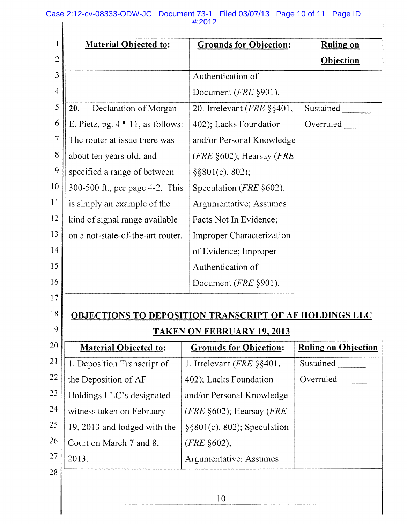## Case 2:12-cv-08333-ODW-JC Document 73-1 Filed 03/07/13 Page 10 of 11 Page ID  $\parallel$ #:2012

| <b>Material Objected to:</b>                 | <b>Grounds for Objection:</b>                                 | <u>Ruling on</u>           |
|----------------------------------------------|---------------------------------------------------------------|----------------------------|
|                                              |                                                               | <b>Objection</b>           |
|                                              | Authentication of                                             |                            |
|                                              | Document (FRE §901).                                          |                            |
| Declaration of Morgan<br>20.                 | 20. Irrelevant ( <i>FRE</i> §§401,                            | Sustained                  |
| E. Pietz, pg. $4 \parallel 11$ , as follows: | 402); Lacks Foundation                                        | Overruled                  |
| The router at issue there was                | and/or Personal Knowledge                                     |                            |
| about ten years old, and                     | ( <i>FRE</i> $\S602$ ); Hearsay ( <i>FRE</i>                  |                            |
| specified a range of between                 | $\S$ \$801(c), 802);                                          |                            |
| 300-500 ft., per page 4-2. This              | Speculation ( <i>FRE</i> $§602$ );                            |                            |
| is simply an example of the                  | Argumentative; Assumes                                        |                            |
| kind of signal range available               | Facts Not In Evidence;                                        |                            |
| on a not-state-of-the-art router.            | <b>Improper Characterization</b>                              |                            |
|                                              | of Evidence; Improper                                         |                            |
|                                              | Authentication of                                             |                            |
|                                              | Document (FRE §901).                                          |                            |
|                                              |                                                               |                            |
|                                              | <b>OBJECTIONS TO DEPOSITION TRANSCRIPT OF AF HOLDINGS LLC</b> |                            |
|                                              | <b>TAKEN ON FEBRUARY 19, 2013</b>                             |                            |
| <b>Material Objected to:</b>                 | <b>Grounds for Objection:</b>                                 | <b>Ruling on Objection</b> |
|                                              |                                                               |                            |
| 1. Deposition Transcript of                  | 1. Irrelevant ( <i>FRE</i> $\S$ §401,                         | Sustained                  |
| the Deposition of AF                         | 402); Lacks Foundation                                        | Overruled                  |
| Holdings LLC's designated                    | and/or Personal Knowledge                                     |                            |
| witness taken on February                    | $(FRE \S 602)$ ; Hearsay $(FRE$                               |                            |
| 19, 2013 and lodged with the                 | $\S$ §801(c), 802); Speculation                               |                            |
| Court on March 7 and 8,                      | $(FRE \S 602);$                                               |                            |